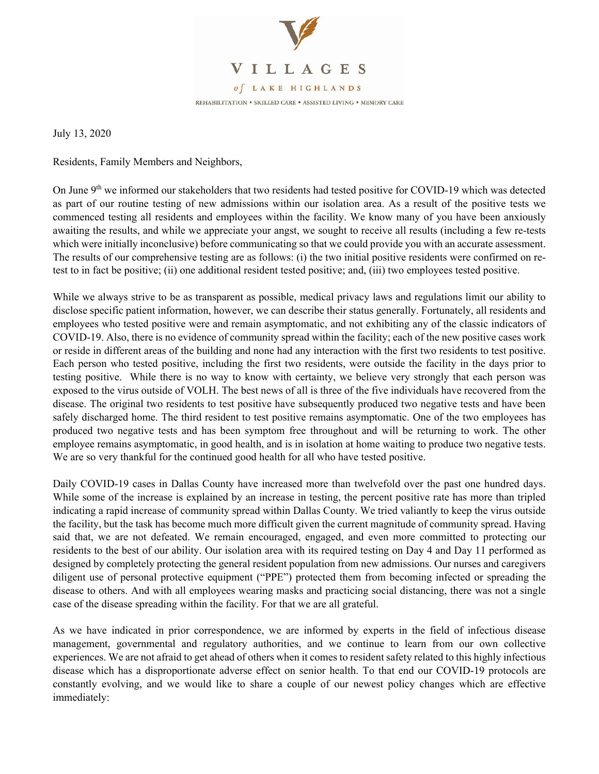

July 13, 2020

Residents, Family Members and Neighbors,

On June 9<sup>th</sup> we informed our stakeholders that two residents had tested positive for COVID-19 which was detected as part of our routine testing of new admissions within our isolation area. As a result of the positive tests we commenced testing all residents and employees within the facility. We know many of you have been anxiously awaiting the results, and while we appreciate your angst, we sought to receive all results (including a few re-tests which were initially inconclusive) before communicating so that we could provide you with an accurate assessment. The results of our comprehensive testing are as follows: (i) the two initial positive residents were confirmed on retest to in fact be positive; (ii) one additional resident tested positive; and, (iii) two employees tested positive.

While we always strive to be as transparent as possible, medical privacy laws and regulations limit our ability to disclose specific patient information, however, we can describe their status generally. Fortunately, all residents and employees who tested positive were and remain asymptomatic, and not exhibiting any of the classic indicators of COVID-19. Also, there is no evidence of community spread within the facility; each of the new positive cases work or reside in different areas of the building and none had any interaction with the first two residents to test positive. Each person who tested positive, including the first two residents, were outside the facility in the days prior to testing positive. While there is no way to know with certainty, we believe very strongly that each person was exposed to the virus outside of VOLH. The best news of all is three of the five individuals have recovered from the disease. The original two residents to test positive have subsequently produced two negative tests and have been safely discharged home. The third resident to test positive remains asymptomatic. One of the two employees has produced two negative tests and has been symptom free throughout and will be returning to work. The other employee remains asymptomatic, in good health, and is in isolation at home waiting to produce two negative tests. We are so very thankful for the continued good health for all who have tested positive.

Daily COVID-19 cases in Dallas County have increased more than twelvefold over the past one hundred days. While some of the increase is explained by an increase in testing, the percent positive rate has more than tripled indicating a rapid increase of community spread within Dallas County. We tried valiantly to keep the virus outside the facility, but the task has become much more difficult given the current magnitude of community spread. Having said that, we are not defeated. We remain encouraged, engaged, and even more committed to protecting our residents to the best of our ability. Our isolation area with its required testing on Day 4 and Day 11 performed as designed by completely protecting the general resident population from new admissions. Our nurses and caregivers diligent use of personal protective equipment ("PPE") protected them from becoming infected or spreading the disease to others. And with all employees wearing masks and practicing social distancing, there was not a single case of the disease spreading within the facility. For that we are all grateful.

As we have indicated in prior correspondence, we are informed by experts in the field of infectious disease management, governmental and regulatory authorities, and we continue to learn from our own collective experiences. We are not afraid to get ahead of others when it comes to resident safety related to this highly infectious disease which has a disproportionate adverse effect on senior health. To that end our COVID-19 protocols are constantly evolving, and we would like to share a couple of our newest policy changes which are effective immediately: